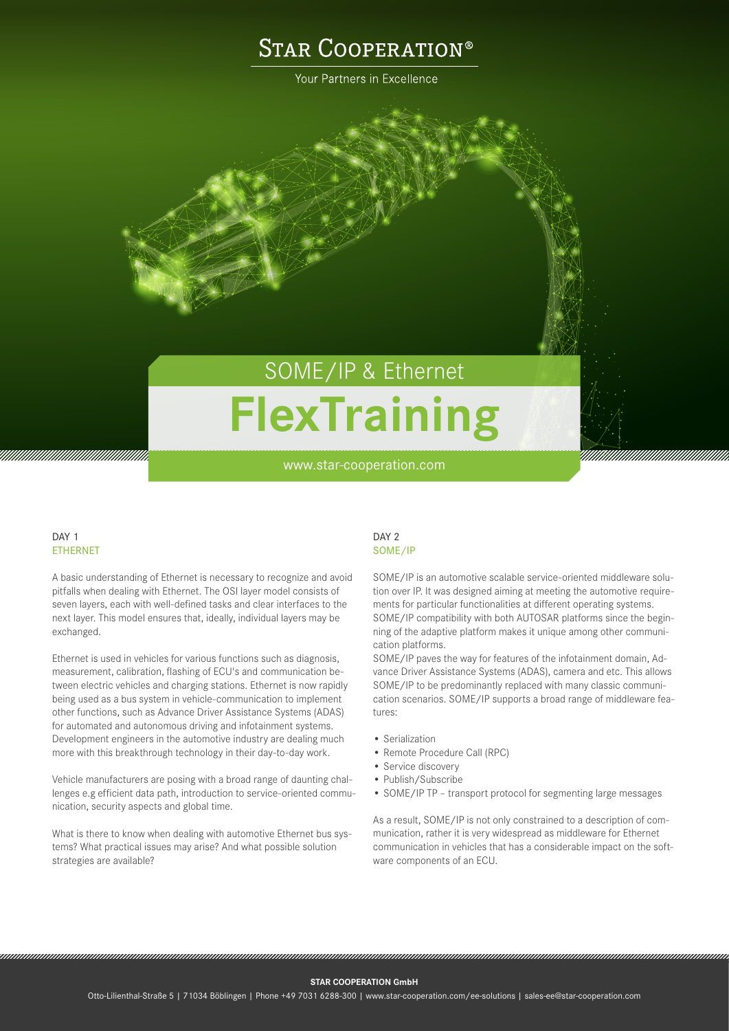## **STAR COOPERATION®**

Your Partners in Excellence

# SOME/IP & Ethernet **FlexTraining**

www.star-cooperation.com

### DAY<sub>1</sub> ETHERNET

A basic understanding of Ethernet is necessary to recognize and avoid pitfalls when dealing with Ethernet. The OSI layer model consists of seven layers, each with well-defined tasks and clear interfaces to the next layer. This model ensures that, ideally, individual layers may be exchanged.

Ethernet is used in vehicles for various functions such as diagnosis, measurement, calibration, flashing of ECU's and communication between electric vehicles and charging stations. Ethernet is now rapidly being used as a bus system in vehicle-communication to implement other functions, such as Advance Driver Assistance Systems (ADAS) for automated and autonomous driving and infotainment systems. Development engineers in the automotive industry are dealing much more with this breakthrough technology in their day-to-day work.

Vehicle manufacturers are posing with a broad range of daunting challenges e.g efficient data path, introduction to service-oriented communication, security aspects and global time.

What is there to know when dealing with automotive Ethernet bus systems? What practical issues may arise? And what possible solution strategies are available?

#### DAY<sub>2</sub> SOME/IP

SOME/IP is an automotive scalable service-oriented middleware solution over IP. It was designed aiming at meeting the automotive requirements for particular functionalities at different operating systems. SOME/IP compatibility with both AUTOSAR platforms since the beginning of the adaptive platform makes it unique among other communication platforms.

SOME/IP paves the way for features of the infotainment domain, Advance Driver Assistance Systems (ADAS), camera and etc. This allows SOME/IP to be predominantly replaced with many classic communication scenarios. SOME/IP supports a broad range of middleware features:

- Serialization
- Remote Procedure Call (RPC)
- Service discovery
- Publish/Subscribe

• SOME/IP TP – transport protocol for segmenting large messages

As a result, SOME/IP is not only constrained to a description of communication, rather it is very widespread as middleware for Ethernet communication in vehicles that has a considerable impact on the software components of an ECU.

#### **STAR COOPERATION GmbH**